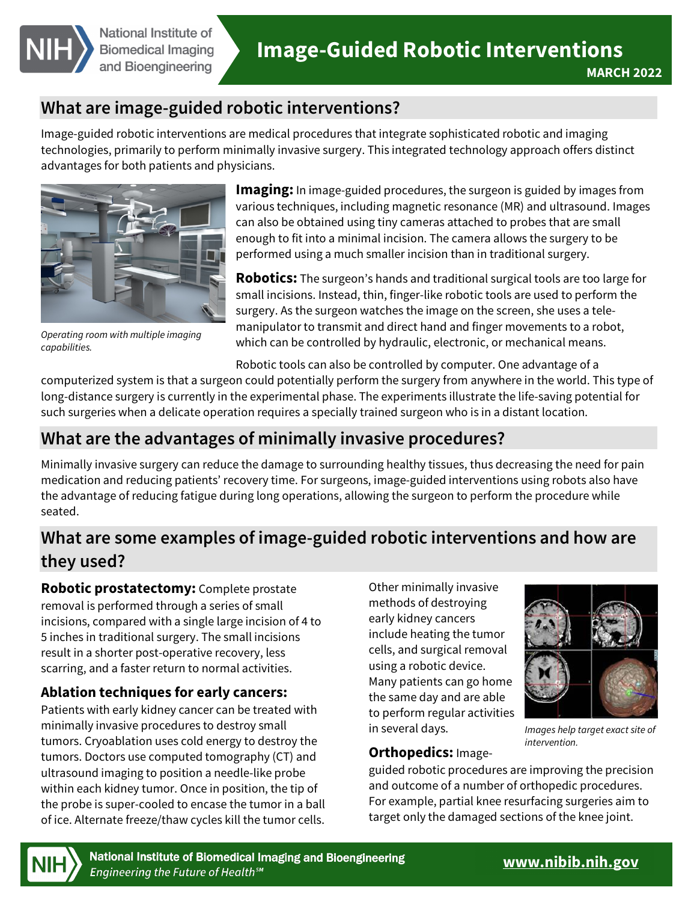

# **What are image-guided robotic interventions?**

Image-guided robotic interventions are medical procedures that integrate sophisticated robotic and imaging technologies, primarily to perform minimally invasive surgery. This integrated technology approach offers distinct advantages for both patients and physicians.



*Operating room with multiple imaging capabilities.* 

 **Imaging:** In image-guided procedures, the surgeon is guided by images from various techniques, including magnetic resonance (MR) and ultrasound. Images can also be obtained using tiny cameras attached to probes that are small enough to fit into a minimal incision. The camera allows the surgery to be performed using a much smaller incision than in traditional surgery.

 small incisions. Instead, thin, finger-like robotic tools are used to perform the manipulator to transmit and direct hand and finger movements to a robot, **Robotics:** The surgeon's hands and traditional surgical tools are too large for surgery. As the surgeon watches the image on the screen, she uses a tele which can be controlled by hydraulic, electronic, or mechanical means.

Robotic tools can also be controlled by computer. One advantage of a

 long-distance surgery is currently in the experimental phase. The experiments illustrate the life-saving potential for computerized system is that a surgeon could potentially perform the surgery from anywhere in the world. This type of such surgeries when a delicate operation requires a specially trained surgeon who is in a distant location.

### **What are the advantages of minimally invasive procedures?**

Minimally invasive surgery can reduce the damage to surrounding healthy tissues, thus decreasing the need for pain medication and reducing patients' recovery time. For surgeons, image-guided interventions using robots also have the advantage of reducing fatigue during long operations, allowing the surgeon to perform the procedure while seated.

## **What are some examples of image-guided robotic interventions and how are they used?**

**Robotic prostatectomy:** Complete prostate removal is performed through a series of small incisions, compared with a single large incision of 4 to 5 inches in traditional surgery. The small incisions result in a shorter post-operative recovery, less scarring, and a faster return to normal activities.

### **Ablation techniques for early cancers:**

Patients with early kidney cancer can be treated with minimally invasive procedures to destroy small tumors. Cryoablation uses cold energy to destroy the tumors. Doctors use computed tomography (CT) and ultrasound imaging to position a needle-like probe within each kidney tumor. Once in position, the tip of the probe is super-cooled to encase the tumor in a ball of ice. Alternate freeze/thaw cycles kill the tumor cells.

 the same day and are able Other minimally invasive methods of destroying early kidney cancers include heating the tumor cells, and surgical removal using a robotic device. Many patients can go home to perform regular activities in several days. *Images help target exact site of* 



*intervention.* 

### **Orthopedics:** Image-

guided robotic procedures are improving the precision and outcome of a number of orthopedic procedures. For example, partial knee resurfacing surgeries aim to target only the damaged sections of the knee joint.